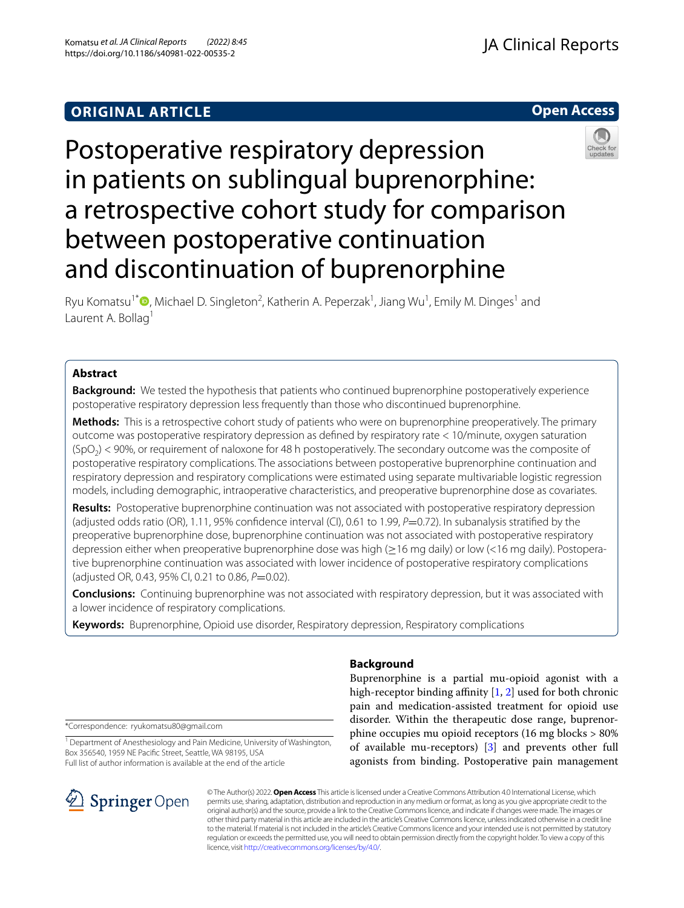## **ORIGINAL ARTICLE**

**Open Access**

# Postoperative respiratory depression in patients on sublingual buprenorphine: a retrospective cohort study for comparison between postoperative continuation and discontinuation of buprenorphine



Ryu Komatsu<sup>1\*</sup><sup>®</sup>[,](http://orcid.org/0000-0002-3824-8680) Michael D. Singleton<sup>2</sup>, Katherin A. Peperzak<sup>1</sup>, Jiang Wu<sup>1</sup>, Emily M. Dinges<sup>1</sup> and Laurent A. Bollag<sup>1</sup>

## **Abstract**

**Background:** We tested the hypothesis that patients who continued buprenorphine postoperatively experience postoperative respiratory depression less frequently than those who discontinued buprenorphine.

**Methods:** This is a retrospective cohort study of patients who were on buprenorphine preoperatively. The primary outcome was postoperative respiratory depression as defned by respiratory rate < 10/minute, oxygen saturation  $(SpO<sub>2</sub>)$  < 90%, or requirement of naloxone for 48 h postoperatively. The secondary outcome was the composite of postoperative respiratory complications. The associations between postoperative buprenorphine continuation and respiratory depression and respiratory complications were estimated using separate multivariable logistic regression models, including demographic, intraoperative characteristics, and preoperative buprenorphine dose as covariates.

**Results:** Postoperative buprenorphine continuation was not associated with postoperative respiratory depression (adjusted odds ratio (OR), 1.11, 95% confdence interval (CI), 0.61 to 1.99, *P*=0.72). In subanalysis stratifed by the preoperative buprenorphine dose, buprenorphine continuation was not associated with postoperative respiratory depression either when preoperative buprenorphine dose was high (≥16 mg daily) or low (<16 mg daily). Postoperative buprenorphine continuation was associated with lower incidence of postoperative respiratory complications (adjusted OR, 0.43, 95% CI, 0.21 to 0.86, *P*=0.02).

**Conclusions:** Continuing buprenorphine was not associated with respiratory depression, but it was associated with a lower incidence of respiratory complications.

**Keywords:** Buprenorphine, Opioid use disorder, Respiratory depression, Respiratory complications

\*Correspondence: ryukomatsu80@gmail.com

<sup>1</sup> Department of Anesthesiology and Pain Medicine, University of Washington, Box 356540, 1959 NE Pacifc Street, Seattle, WA 98195, USA Full list of author information is available at the end of the article



## **Background**

Buprenorphine is a partial mu-opioid agonist with a high-receptor binding affinity  $[1, 2]$  $[1, 2]$  $[1, 2]$  $[1, 2]$  used for both chronic pain and medication-assisted treatment for opioid use disorder. Within the therapeutic dose range, buprenorphine occupies mu opioid receptors (16 mg blocks > 80% of available mu-receptors) [[3\]](#page-8-2) and prevents other full agonists from binding. Postoperative pain management

© The Author(s) 2022. **Open Access** This article is licensed under a Creative Commons Attribution 4.0 International License, which permits use, sharing, adaptation, distribution and reproduction in any medium or format, as long as you give appropriate credit to the original author(s) and the source, provide a link to the Creative Commons licence, and indicate if changes were made. The images or other third party material in this article are included in the article's Creative Commons licence, unless indicated otherwise in a credit line to the material. If material is not included in the article's Creative Commons licence and your intended use is not permitted by statutory regulation or exceeds the permitted use, you will need to obtain permission directly from the copyright holder. To view a copy of this licence, visit [http://creativecommons.org/licenses/by/4.0/.](http://creativecommons.org/licenses/by/4.0/)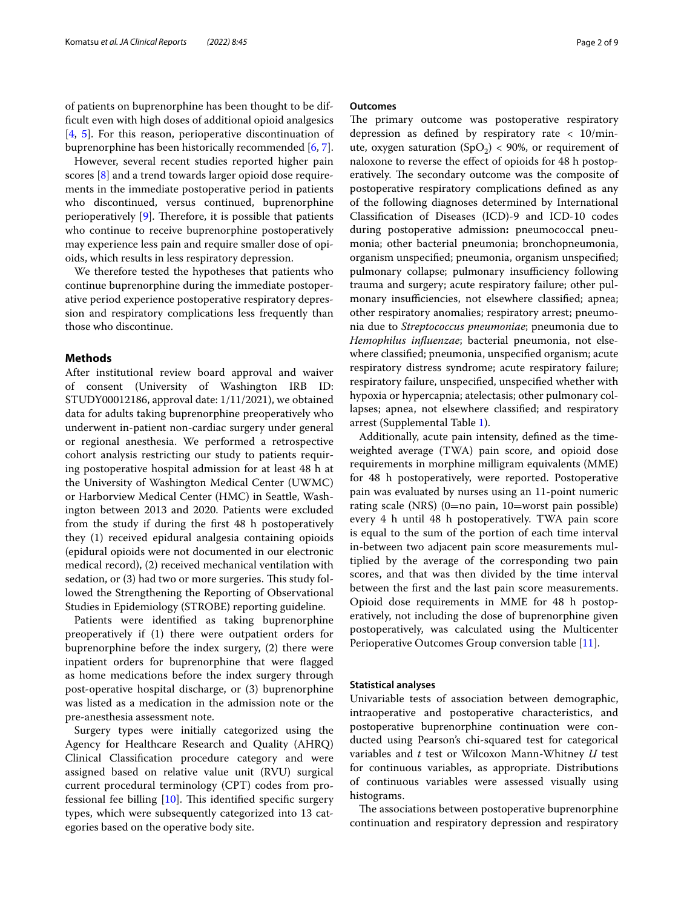of patients on buprenorphine has been thought to be diffcult even with high doses of additional opioid analgesics [[4,](#page-8-3) [5\]](#page-8-4). For this reason, perioperative discontinuation of buprenorphine has been historically recommended [[6,](#page-8-5) [7](#page-8-6)].

However, several recent studies reported higher pain scores [[8\]](#page-8-7) and a trend towards larger opioid dose requirements in the immediate postoperative period in patients who discontinued, versus continued, buprenorphine perioperatively  $[9]$  $[9]$ . Therefore, it is possible that patients who continue to receive buprenorphine postoperatively may experience less pain and require smaller dose of opioids, which results in less respiratory depression.

We therefore tested the hypotheses that patients who continue buprenorphine during the immediate postoperative period experience postoperative respiratory depression and respiratory complications less frequently than those who discontinue.

## **Methods**

After institutional review board approval and waiver of consent (University of Washington IRB ID: STUDY00012186, approval date: 1/11/2021), we obtained data for adults taking buprenorphine preoperatively who underwent in-patient non-cardiac surgery under general or regional anesthesia. We performed a retrospective cohort analysis restricting our study to patients requiring postoperative hospital admission for at least 48 h at the University of Washington Medical Center (UWMC) or Harborview Medical Center (HMC) in Seattle, Washington between 2013 and 2020. Patients were excluded from the study if during the frst 48 h postoperatively they (1) received epidural analgesia containing opioids (epidural opioids were not documented in our electronic medical record), (2) received mechanical ventilation with sedation, or (3) had two or more surgeries. This study followed the Strengthening the Reporting of Observational Studies in Epidemiology (STROBE) reporting guideline.

Patients were identifed as taking buprenorphine preoperatively if (1) there were outpatient orders for buprenorphine before the index surgery, (2) there were inpatient orders for buprenorphine that were fagged as home medications before the index surgery through post-operative hospital discharge, or (3) buprenorphine was listed as a medication in the admission note or the pre-anesthesia assessment note.

Surgery types were initially categorized using the Agency for Healthcare Research and Quality (AHRQ) Clinical Classifcation procedure category and were assigned based on relative value unit (RVU) surgical current procedural terminology (CPT) codes from professional fee billing  $[10]$  $[10]$ . This identified specific surgery types, which were subsequently categorized into 13 categories based on the operative body site.

#### **Outcomes**

The primary outcome was postoperative respiratory depression as defned by respiratory rate < 10/minute, oxygen saturation  $(SpO<sub>2</sub>)$  < 90%, or requirement of naloxone to reverse the efect of opioids for 48 h postoperatively. The secondary outcome was the composite of postoperative respiratory complications defned as any of the following diagnoses determined by International Classifcation of Diseases (ICD)-9 and ICD-10 codes during postoperative admission**:** pneumococcal pneumonia; other bacterial pneumonia; bronchopneumonia, organism unspecifed; pneumonia, organism unspecifed; pulmonary collapse; pulmonary insufficiency following trauma and surgery; acute respiratory failure; other pulmonary insufficiencies, not elsewhere classified; apnea; other respiratory anomalies; respiratory arrest; pneumonia due to *Streptococcus pneumoniae*; pneumonia due to *Hemophilus infuenzae*; bacterial pneumonia, not elsewhere classifed; pneumonia, unspecifed organism; acute respiratory distress syndrome; acute respiratory failure; respiratory failure, unspecifed, unspecifed whether with hypoxia or hypercapnia; atelectasis; other pulmonary collapses; apnea, not elsewhere classifed; and respiratory arrest (Supplemental Table [1\)](#page-8-10).

Additionally, acute pain intensity, defned as the timeweighted average (TWA) pain score, and opioid dose requirements in morphine milligram equivalents (MME) for 48 h postoperatively, were reported. Postoperative pain was evaluated by nurses using an 11-point numeric rating scale (NRS) (0=no pain, 10=worst pain possible) every 4 h until 48 h postoperatively. TWA pain score is equal to the sum of the portion of each time interval in-between two adjacent pain score measurements multiplied by the average of the corresponding two pain scores, and that was then divided by the time interval between the frst and the last pain score measurements. Opioid dose requirements in MME for 48 h postoperatively, not including the dose of buprenorphine given postoperatively, was calculated using the Multicenter Perioperative Outcomes Group conversion table [\[11](#page-8-11)].

#### **Statistical analyses**

Univariable tests of association between demographic, intraoperative and postoperative characteristics, and postoperative buprenorphine continuation were conducted using Pearson's chi-squared test for categorical variables and *t* test or Wilcoxon Mann-Whitney *U* test for continuous variables, as appropriate. Distributions of continuous variables were assessed visually using histograms.

The associations between postoperative buprenorphine continuation and respiratory depression and respiratory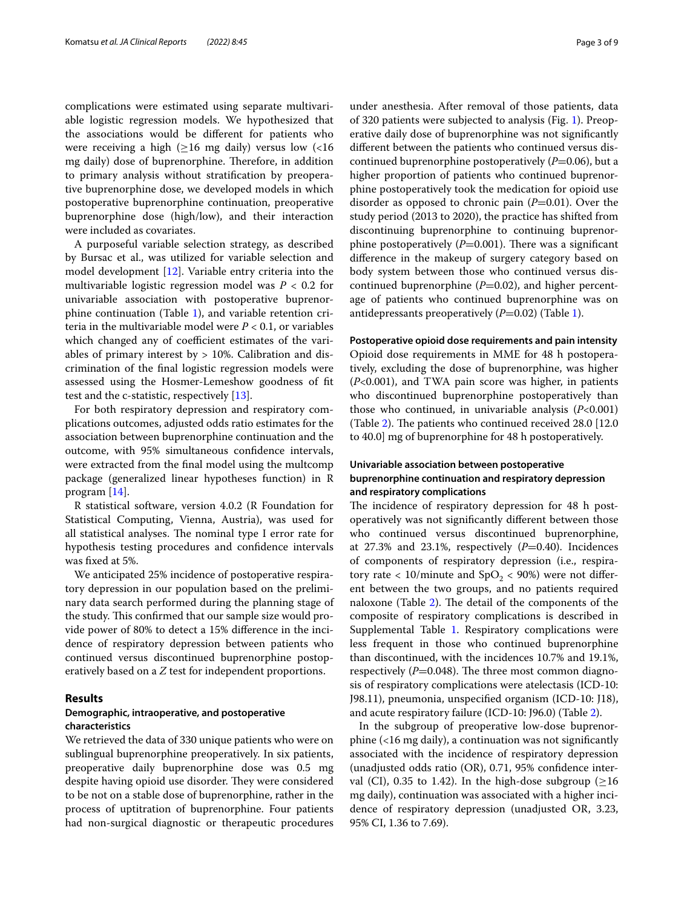complications were estimated using separate multivariable logistic regression models. We hypothesized that the associations would be diferent for patients who were receiving a high ( $\geq 16$  mg daily) versus low (<16 mg daily) dose of buprenorphine. Therefore, in addition to primary analysis without stratifcation by preoperative buprenorphine dose, we developed models in which postoperative buprenorphine continuation, preoperative buprenorphine dose (high/low), and their interaction were included as covariates.

A purposeful variable selection strategy, as described by Bursac et al., was utilized for variable selection and model development [\[12\]](#page-8-12). Variable entry criteria into the multivariable logistic regression model was *P* < 0.2 for univariable association with postoperative buprenorphine continuation (Table [1\)](#page-3-0), and variable retention criteria in the multivariable model were  $P < 0.1$ , or variables which changed any of coefficient estimates of the variables of primary interest by  $> 10\%$ . Calibration and discrimination of the fnal logistic regression models were assessed using the Hosmer-Lemeshow goodness of ft test and the c-statistic, respectively [[13](#page-8-13)].

For both respiratory depression and respiratory complications outcomes, adjusted odds ratio estimates for the association between buprenorphine continuation and the outcome, with 95% simultaneous confdence intervals, were extracted from the fnal model using the multcomp package (generalized linear hypotheses function) in R program [[14](#page-8-14)].

R statistical software, version 4.0.2 (R Foundation for Statistical Computing, Vienna, Austria), was used for all statistical analyses. The nominal type I error rate for hypothesis testing procedures and confdence intervals was fxed at 5%.

We anticipated 25% incidence of postoperative respiratory depression in our population based on the preliminary data search performed during the planning stage of the study. This confirmed that our sample size would provide power of 80% to detect a 15% diference in the incidence of respiratory depression between patients who continued versus discontinued buprenorphine postoperatively based on a *Z* test for independent proportions.

#### **Results**

## **Demographic, intraoperative, and postoperative characteristics**

We retrieved the data of 330 unique patients who were on sublingual buprenorphine preoperatively. In six patients, preoperative daily buprenorphine dose was 0.5 mg despite having opioid use disorder. They were considered to be not on a stable dose of buprenorphine, rather in the process of uptitration of buprenorphine. Four patients had non-surgical diagnostic or therapeutic procedures under anesthesia. After removal of those patients, data of 320 patients were subjected to analysis (Fig. [1\)](#page-4-0). Preoperative daily dose of buprenorphine was not signifcantly diferent between the patients who continued versus discontinued buprenorphine postoperatively (*P*=0.06), but a higher proportion of patients who continued buprenorphine postoperatively took the medication for opioid use disorder as opposed to chronic pain  $(P=0.01)$ . Over the study period (2013 to 2020), the practice has shifted from discontinuing buprenorphine to continuing buprenorphine postoperatively  $(P=0.001)$ . There was a significant diference in the makeup of surgery category based on body system between those who continued versus discontinued buprenorphine  $(P=0.02)$ , and higher percentage of patients who continued buprenorphine was on antidepressants preoperatively  $(P=0.02)$  (Table [1](#page-3-0)).

#### **Postoperative opioid dose requirements and pain intensity**

Opioid dose requirements in MME for 48 h postoperatively, excluding the dose of buprenorphine, was higher (*P*<0.001), and TWA pain score was higher, in patients who discontinued buprenorphine postoperatively than those who continued, in univariable analysis (*P*<0.001) (Table [2\)](#page-5-0). The patients who continued received  $28.0$  [12.0] to 40.0] mg of buprenorphine for 48 h postoperatively.

## **Univariable association between postoperative buprenorphine continuation and respiratory depression and respiratory complications**

The incidence of respiratory depression for 48 h postoperatively was not signifcantly diferent between those who continued versus discontinued buprenorphine, at  $27.3\%$  and  $23.1\%$ , respectively ( $P=0.40$ ). Incidences of components of respiratory depression (i.e., respiratory rate < 10/minute and  $SpO<sub>2</sub>$  < 90%) were not different between the two groups, and no patients required naloxone (Table  $2$ ). The detail of the components of the composite of respiratory complications is described in Supplemental Table [1.](#page-8-10) Respiratory complications were less frequent in those who continued buprenorphine than discontinued, with the incidences 10.7% and 19.1%, respectively  $(P=0.048)$ . The three most common diagnosis of respiratory complications were atelectasis (ICD-10: J98.11), pneumonia, unspecifed organism (ICD-10: J18), and acute respiratory failure (ICD-10: J96.0) (Table [2](#page-5-0)).

In the subgroup of preoperative low-dose buprenorphine (<16 mg daily), a continuation was not signifcantly associated with the incidence of respiratory depression (unadjusted odds ratio (OR), 0.71, 95% confdence interval (CI), 0.35 to 1.42). In the high-dose subgroup ( $\geq$ 16 mg daily), continuation was associated with a higher incidence of respiratory depression (unadjusted OR, 3.23, 95% CI, 1.36 to 7.69).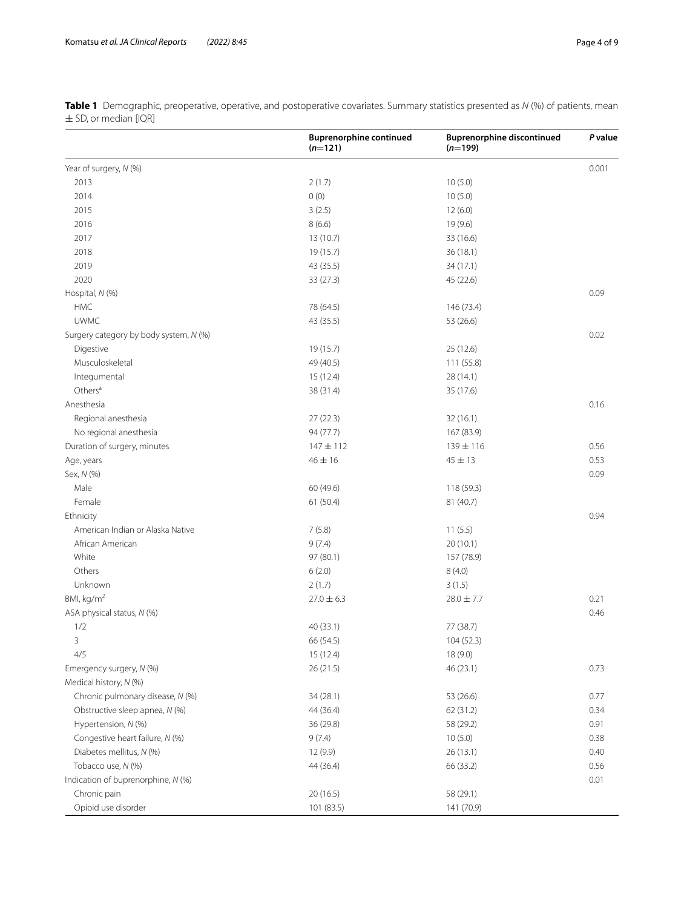|                                        | <b>Buprenorphine continued</b><br>$(n=121)$ | <b>Buprenorphine discontinued</b><br>$(n=199)$ | P value |
|----------------------------------------|---------------------------------------------|------------------------------------------------|---------|
| Year of surgery, N (%)                 |                                             |                                                | 0.001   |
| 2013                                   | 2(1.7)                                      | 10(5.0)                                        |         |
| 2014                                   | 0(0)                                        | 10(5.0)                                        |         |
| 2015                                   | 3(2.5)                                      | 12(6.0)                                        |         |
| 2016                                   | 8(6.6)                                      | 19 (9.6)                                       |         |
| 2017                                   | 13(10.7)                                    | 33 (16.6)                                      |         |
| 2018                                   | 19(15.7)                                    | 36(18.1)                                       |         |
| 2019                                   | 43 (35.5)                                   | 34(17.1)                                       |         |
| 2020                                   | 33 (27.3)                                   | 45 (22.6)                                      |         |
| Hospital, N (%)                        |                                             |                                                | 0.09    |
| <b>HMC</b>                             | 78 (64.5)                                   | 146 (73.4)                                     |         |
| <b>UWMC</b>                            | 43 (35.5)                                   | 53 (26.6)                                      |         |
| Surgery category by body system, N (%) |                                             |                                                | 0.02    |
| Digestive                              | 19 (15.7)                                   | 25 (12.6)                                      |         |
| Musculoskeletal                        | 49 (40.5)                                   | 111 (55.8)                                     |         |
| Integumental                           | 15(12.4)                                    | 28 (14.1)                                      |         |
| Others $a$                             | 38 (31.4)                                   | 35 (17.6)                                      |         |
| Anesthesia                             |                                             |                                                | 0.16    |
| Regional anesthesia                    | 27(22.3)                                    | 32(16.1)                                       |         |
| No regional anesthesia                 | 94 (77.7)                                   | 167 (83.9)                                     |         |
| Duration of surgery, minutes           | $147 \pm 112$                               | $139 \pm 116$                                  | 0.56    |
| Age, years                             | $46 \pm 16$                                 | $45 + 13$                                      | 0.53    |
| Sex, N (%)                             |                                             |                                                | 0.09    |
| Male                                   | 60 (49.6)                                   | 118 (59.3)                                     |         |
| Female                                 | 61(50.4)                                    | 81 (40.7)                                      |         |
| Ethnicity                              |                                             |                                                | 0.94    |
| American Indian or Alaska Native       | 7(5.8)                                      | 11(5.5)                                        |         |
| African American                       | 9(7.4)                                      | 20(10.1)                                       |         |
| White                                  | 97 (80.1)                                   | 157 (78.9)                                     |         |
| Others                                 | 6(2.0)                                      | 8(4.0)                                         |         |
| Unknown                                | 2(1.7)                                      | 3(1.5)                                         |         |
| BMI, kg/m <sup>2</sup>                 | $27.0 \pm 6.3$                              | $28.0 \pm 7.7$                                 | 0.21    |
| ASA physical status, N (%)             |                                             |                                                | 0.46    |
| 1/2                                    | 40 (33.1)                                   | 77 (38.7)                                      |         |
| 3                                      | 66 (54.5)                                   | 104 (52.3)                                     |         |
| 4/5                                    | 15(12.4)                                    | 18 (9.0)                                       |         |
| Emergency surgery, N (%)               | 26 (21.5)                                   | 46 (23.1)                                      | 0.73    |
| Medical history, N (%)                 |                                             |                                                |         |
| Chronic pulmonary disease, N (%)       | 34(28.1)                                    | 53 (26.6)                                      | 0.77    |
| Obstructive sleep apnea, N (%)         | 44 (36.4)                                   | 62 (31.2)                                      | 0.34    |
| Hypertension, N (%)                    | 36 (29.8)                                   | 58 (29.2)                                      | 0.91    |
| Congestive heart failure, N (%)        | 9(7.4)                                      | 10(5.0)                                        | 0.38    |
| Diabetes mellitus, N (%)               | 12 (9.9)                                    | 26 (13.1)                                      | 0.40    |
| Tobacco use, N (%)                     | 44 (36.4)                                   | 66 (33.2)                                      | 0.56    |
| Indication of buprenorphine, N (%)     |                                             |                                                | 0.01    |
| Chronic pain                           | 20(16.5)                                    | 58 (29.1)                                      |         |
| Opioid use disorder                    | 101 (83.5)                                  | 141 (70.9)                                     |         |

<span id="page-3-0"></span>**Table 1** Demographic, preoperative, operative, and postoperative covariates. Summary statistics presented as *N* (%) of patients, mean  $\pm$  SD, or median [IQR]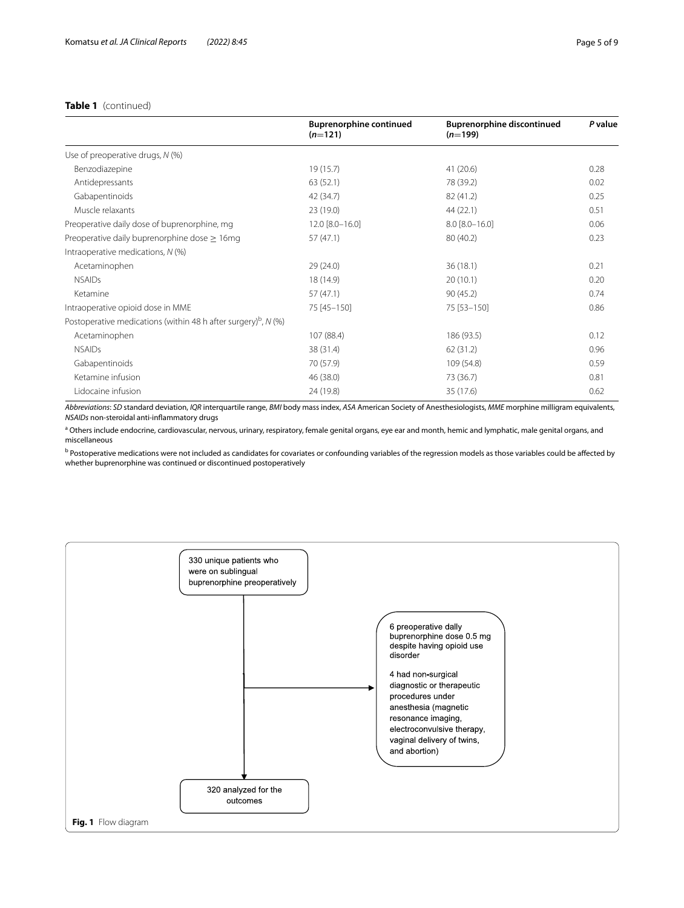## **Table 1** (continued)

|                                                                              | <b>Buprenorphine continued</b><br>$(n=121)$ | <b>Buprenorphine discontinued</b><br>$(n=199)$ | P value |
|------------------------------------------------------------------------------|---------------------------------------------|------------------------------------------------|---------|
| Use of preoperative drugs, N (%)                                             |                                             |                                                |         |
| Benzodiazepine                                                               | 19(15.7)                                    | 41(20.6)                                       | 0.28    |
| Antidepressants                                                              | 63(52.1)                                    | 78 (39.2)                                      | 0.02    |
| Gabapentinoids                                                               | 42 (34.7)                                   | 82 (41.2)                                      | 0.25    |
| Muscle relaxants                                                             | 23 (19.0)                                   | 44(22.1)                                       | 0.51    |
| Preoperative daily dose of buprenorphine, mg                                 | 12.0 [8.0-16.0]                             | $8.0 [8.0 - 16.0]$                             | 0.06    |
| Preoperative daily buprenorphine dose $\geq 16$ mg                           | 57 (47.1)                                   | 80 (40.2)                                      | 0.23    |
| Intraoperative medications, N (%)                                            |                                             |                                                |         |
| Acetaminophen                                                                | 29 (24.0)                                   | 36(18.1)                                       | 0.21    |
| <b>NSAIDs</b>                                                                | 18 (14.9)                                   | 20(10.1)                                       | 0.20    |
| Ketamine                                                                     | 57 (47.1)                                   | 90(45.2)                                       | 0.74    |
| Intraoperative opioid dose in MME                                            | 75 [45-150]                                 | 75 [53-150]                                    | 0.86    |
| Postoperative medications (within 48 h after surgery) <sup>b</sup> , $N$ (%) |                                             |                                                |         |
| Acetaminophen                                                                | 107 (88.4)                                  | 186 (93.5)                                     | 0.12    |
| <b>NSAIDs</b>                                                                | 38 (31.4)                                   | 62 (31.2)                                      | 0.96    |
| Gabapentinoids                                                               | 70 (57.9)                                   | 109 (54.8)                                     | 0.59    |
| Ketamine infusion                                                            | 46 (38.0)                                   | 73 (36.7)                                      | 0.81    |
| Lidocaine infusion                                                           | 24 (19.8)                                   | 35 (17.6)                                      | 0.62    |
|                                                                              |                                             |                                                |         |

*Abbreviations*: *SD* standard deviation, *IQR* interquartile range, *BMI* body mass index, *ASA* American Society of Anesthesiologists, *MME* morphine milligram equivalents, *NSAIDs* non-steroidal anti-infammatory drugs

<sup>a</sup> Others include endocrine, cardiovascular, nervous, urinary, respiratory, female genital organs, eye ear and month, hemic and lymphatic, male genital organs, and miscellaneous

<sup>b</sup> Postoperative medications were not included as candidates for covariates or confounding variables of the regression models as those variables could be affected by whether buprenorphine was continued or discontinued postoperatively

<span id="page-4-0"></span>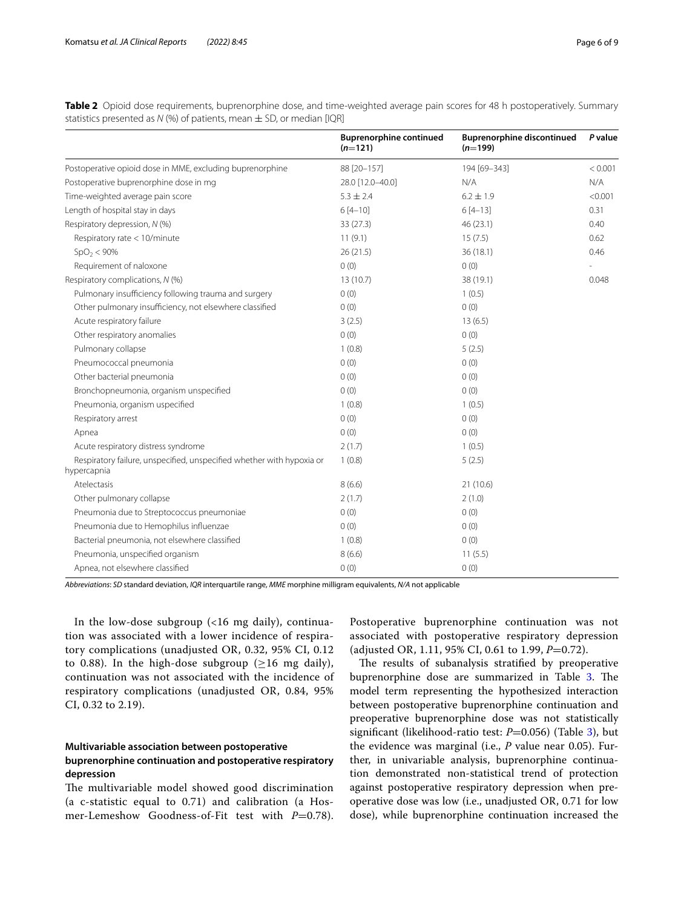<span id="page-5-0"></span>**Table 2** Opioid dose requirements, buprenorphine dose, and time-weighted average pain scores for 48 h postoperatively. Summary statistics presented as *N* (%) of patients, mean  $\pm$  SD, or median [IQR]

|                                                                                      | <b>Buprenorphine continued</b><br>$(n=121)$ | <b>Buprenorphine discontinued</b><br>$(n=199)$ | P value |
|--------------------------------------------------------------------------------------|---------------------------------------------|------------------------------------------------|---------|
| Postoperative opioid dose in MME, excluding buprenorphine                            | 88 [20-157]                                 | 194 [69-343]                                   | < 0.001 |
| Postoperative buprenorphine dose in mg                                               | 28.0 [12.0-40.0]                            | N/A                                            | N/A     |
| Time-weighted average pain score                                                     | $5.3 \pm 2.4$                               | $6.2 \pm 1.9$                                  | < 0.001 |
| Length of hospital stay in days                                                      | $6[4-10]$                                   | $6[4-13]$                                      | 0.31    |
| Respiratory depression, N (%)                                                        | 33 (27.3)                                   | 46(23.1)                                       | 0.40    |
| Respiratory rate < 10/minute                                                         | 11(9.1)                                     | 15(7.5)                                        | 0.62    |
| SpO <sub>2</sub> < 90%                                                               | 26(21.5)                                    | 36(18.1)                                       | 0.46    |
| Requirement of naloxone                                                              | 0(0)                                        | 0(0)                                           |         |
| Respiratory complications, N (%)                                                     | 13(10.7)                                    | 38 (19.1)                                      | 0.048   |
| Pulmonary insufficiency following trauma and surgery                                 | 0(0)                                        | 1(0.5)                                         |         |
| Other pulmonary insufficiency, not elsewhere classified                              | 0(0)                                        | 0(0)                                           |         |
| Acute respiratory failure                                                            | 3(2.5)                                      | 13(6.5)                                        |         |
| Other respiratory anomalies                                                          | 0(0)                                        | 0(0)                                           |         |
| Pulmonary collapse                                                                   | 1(0.8)                                      | 5(2.5)                                         |         |
| Pneumococcal pneumonia                                                               | 0(0)                                        | 0(0)                                           |         |
| Other bacterial pneumonia                                                            | 0(0)                                        | 0(0)                                           |         |
| Bronchopneumonia, organism unspecified                                               | 0(0)                                        | 0(0)                                           |         |
| Pneumonia, organism uspecified                                                       | 1(0.8)                                      | 1(0.5)                                         |         |
| Respiratory arrest                                                                   | 0(0)                                        | 0(0)                                           |         |
| Apnea                                                                                | 0(0)                                        | 0(0)                                           |         |
| Acute respiratory distress syndrome                                                  | 2(1.7)                                      | 1(0.5)                                         |         |
| Respiratory failure, unspecified, unspecified whether with hypoxia or<br>hypercapnia | 1(0.8)                                      | 5(2.5)                                         |         |
| Atelectasis                                                                          | 8(6.6)                                      | 21(10.6)                                       |         |
| Other pulmonary collapse                                                             | 2(1.7)                                      | 2(1.0)                                         |         |
| Pneumonia due to Streptococcus pneumoniae                                            | 0(0)                                        | 0(0)                                           |         |
| Pneumonia due to Hemophilus influenzae                                               | 0(0)                                        | 0(0)                                           |         |
| Bacterial pneumonia, not elsewhere classified                                        | 1(0.8)                                      | 0(0)                                           |         |
| Pneumonia, unspecified organism                                                      | 8(6.6)                                      | 11(5.5)                                        |         |
| Apnea, not elsewhere classified                                                      | 0(0)                                        | 0(0)                                           |         |

*Abbreviations*: *SD* standard deviation, *IQR* interquartile range, *MME* morphine milligram equivalents, *N/A* not applicable

In the low-dose subgroup (<16 mg daily), continuation was associated with a lower incidence of respiratory complications (unadjusted OR, 0.32, 95% CI, 0.12 to 0.88). In the high-dose subgroup ( $\geq$ 16 mg daily), continuation was not associated with the incidence of respiratory complications (unadjusted OR, 0.84, 95% CI, 0.32 to 2.19).

## **Multivariable association between postoperative buprenorphine continuation and postoperative respiratory depression**

The multivariable model showed good discrimination (a c-statistic equal to 0.71) and calibration (a Hosmer-Lemeshow Goodness-of-Fit test with *P*=0.78).

Postoperative buprenorphine continuation was not associated with postoperative respiratory depression (adjusted OR, 1.11, 95% CI, 0.61 to 1.99, *P*=0.72).

The results of subanalysis stratified by preoperative buprenorphine dose are summarized in Table [3.](#page-6-0) The model term representing the hypothesized interaction between postoperative buprenorphine continuation and preoperative buprenorphine dose was not statistically significant (likelihood-ratio test: *P*=0.056) (Table [3](#page-6-0)), but the evidence was marginal (i.e., *P* value near 0.05). Further, in univariable analysis, buprenorphine continuation demonstrated non-statistical trend of protection against postoperative respiratory depression when preoperative dose was low (i.e., unadjusted OR, 0.71 for low dose), while buprenorphine continuation increased the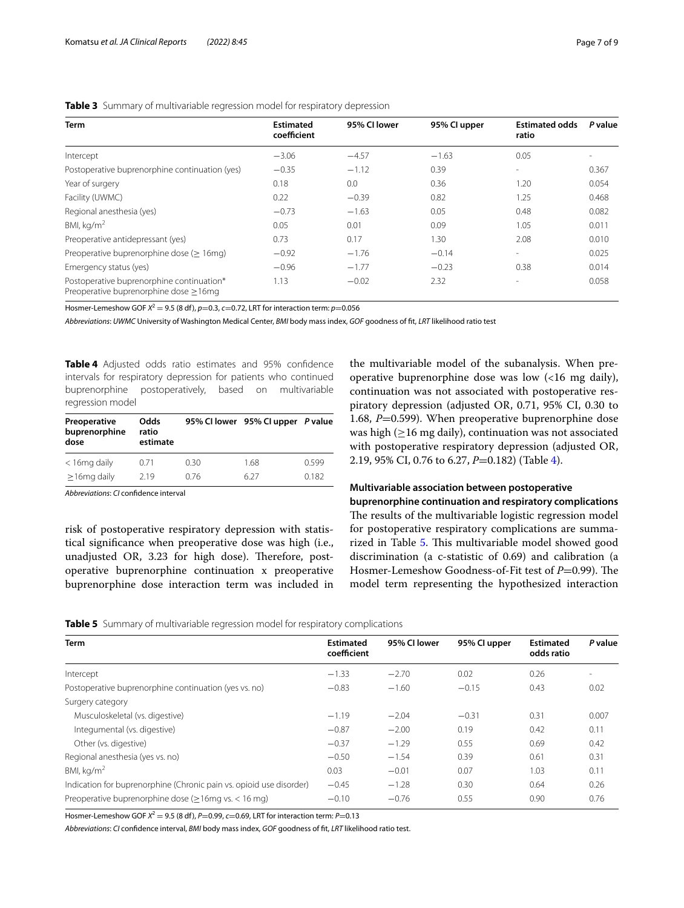| <b>Term</b>                                                                        | <b>Estimated</b><br>coefficient | 95% CI lower | 95% Cl upper | <b>Estimated odds</b><br>ratio | P value |
|------------------------------------------------------------------------------------|---------------------------------|--------------|--------------|--------------------------------|---------|
| Intercept                                                                          | $-3.06$                         | $-4.57$      | $-1.63$      | 0.05                           |         |
| Postoperative buprenorphine continuation (yes)                                     | $-0.35$                         | $-1.12$      | 0.39         | $\overline{\phantom{a}}$       | 0.367   |
| Year of surgery                                                                    | 0.18                            | 0.0          | 0.36         | 1.20                           | 0.054   |
| Facility (UWMC)                                                                    | 0.22                            | $-0.39$      | 0.82         | 1.25                           | 0.468   |
| Regional anesthesia (yes)                                                          | $-0.73$                         | $-1.63$      | 0.05         | 0.48                           | 0.082   |
| BMI, $\text{kg/m}^2$                                                               | 0.05                            | 0.01         | 0.09         | 1.05                           | 0.011   |
| Preoperative antidepressant (yes)                                                  | 0.73                            | 0.17         | 1.30         | 2.08                           | 0.010   |
| Preoperative buprenorphine dose (> 16mg)                                           | $-0.92$                         | $-1.76$      | $-0.14$      | $\overline{\phantom{a}}$       | 0.025   |
| Emergency status (yes)                                                             | $-0.96$                         | $-1.77$      | $-0.23$      | 0.38                           | 0.014   |
| Postoperative buprenorphine continuation*<br>Preoperative buprenorphine dose >16mg | 1.13                            | $-0.02$      | 2.32         | ۰                              | 0.058   |
|                                                                                    |                                 |              |              |                                |         |

## <span id="page-6-0"></span>**Table 3** Summary of multivariable regression model for respiratory depression

Hosmer-Lemeshow GOF  $X^2 = 9.5$  (8 df),  $p=0.3$ ,  $c=0.72$ , LRT for interaction term:  $p=0.056$ 

*Abbreviations*: *UWMC* University of Washington Medical Center, *BMI* body mass index, *GOF* goodness of ft, *LRT* likelihood ratio test

<span id="page-6-1"></span>**Table 4** Adjusted odds ratio estimates and 95% confdence intervals for respiratory depression for patients who continued buprenorphine postoperatively, based on multivariable regression model

| Preoperative<br>buprenorphine<br>dose | Odds<br>ratio<br>estimate |      | 95% CI lower 95% CI upper P value |       |
|---------------------------------------|---------------------------|------|-----------------------------------|-------|
| $<$ 16 mg daily                       | 0.71                      | 0.30 | 1.68                              | 0.599 |
| $\geq$ 16mg daily                     | 219                       | 0.76 | 6 27                              | 0.182 |

*Abbreviations*: *CI* confdence interval

risk of postoperative respiratory depression with statistical signifcance when preoperative dose was high (i.e., unadjusted OR, 3.23 for high dose). Therefore, postoperative buprenorphine continuation x preoperative buprenorphine dose interaction term was included in the multivariable model of the subanalysis. When preoperative buprenorphine dose was low (<16 mg daily), continuation was not associated with postoperative respiratory depression (adjusted OR, 0.71, 95% CI, 0.30 to 1.68, *P*=0.599). When preoperative buprenorphine dose was high  $(\geq 16 \text{ mg daily})$ , continuation was not associated with postoperative respiratory depression (adjusted OR, 2.19, 95% CI, 0.76 to 6.27, *P*=0.182) (Table [4\)](#page-6-1).

## **Multivariable association between postoperative**

**buprenorphine continuation and respiratory complications** The results of the multivariable logistic regression model for postoperative respiratory complications are summa-rized in Table [5.](#page-6-2) This multivariable model showed good discrimination (a c-statistic of 0.69) and calibration (a Hosmer-Lemeshow Goodness-of-Fit test of *P*=0.99). The model term representing the hypothesized interaction

<span id="page-6-2"></span>

|  |  |  |  |  |  | <b>Table 5</b> Summary of multivariable regression model for respiratory complications |
|--|--|--|--|--|--|----------------------------------------------------------------------------------------|
|--|--|--|--|--|--|----------------------------------------------------------------------------------------|

| <b>Term</b>                                                         | <b>Estimated</b><br>coefficient | 95% CI lower | 95% Cl upper | <b>Estimated</b><br>odds ratio | P value |
|---------------------------------------------------------------------|---------------------------------|--------------|--------------|--------------------------------|---------|
| Intercept                                                           | $-1.33$                         | $-2.70$      | 0.02         | 0.26                           |         |
| Postoperative buprenorphine continuation (yes vs. no)               | $-0.83$                         | $-1.60$      | $-0.15$      | 0.43                           | 0.02    |
| Surgery category                                                    |                                 |              |              |                                |         |
| Musculoskeletal (vs. digestive)                                     | $-1.19$                         | $-2.04$      | $-0.31$      | 0.31                           | 0.007   |
| Integumental (vs. digestive)                                        | $-0.87$                         | $-2.00$      | 0.19         | 0.42                           | 0.11    |
| Other (vs. digestive)                                               | $-0.37$                         | $-1.29$      | 0.55         | 0.69                           | 0.42    |
| Regional anesthesia (yes vs. no)                                    | $-0.50$                         | $-1.54$      | 0.39         | 0.61                           | 0.31    |
| BMI, $\text{kg/m}^2$                                                | 0.03                            | $-0.01$      | 0.07         | 1.03                           | 0.11    |
| Indication for buprenorphine (Chronic pain vs. opioid use disorder) | $-0.45$                         | $-1.28$      | 0.30         | 0.64                           | 0.26    |
| Preoperative buprenorphine dose ( $\geq$ 16mg vs. < 16 mg)          | $-0.10$                         | $-0.76$      | 0.55         | 0.90                           | 0.76    |

Hosmer-Lemeshow GOF *X*<sup>2</sup> <sup>=</sup> 9.5 (8 df), *P*=0.99, *c*=0.69, LRT for interaction term: *P*=0.13

*Abbreviations*: *CI* confdence interval, *BMI* body mass index, *GOF* goodness of ft, *LRT* likelihood ratio test.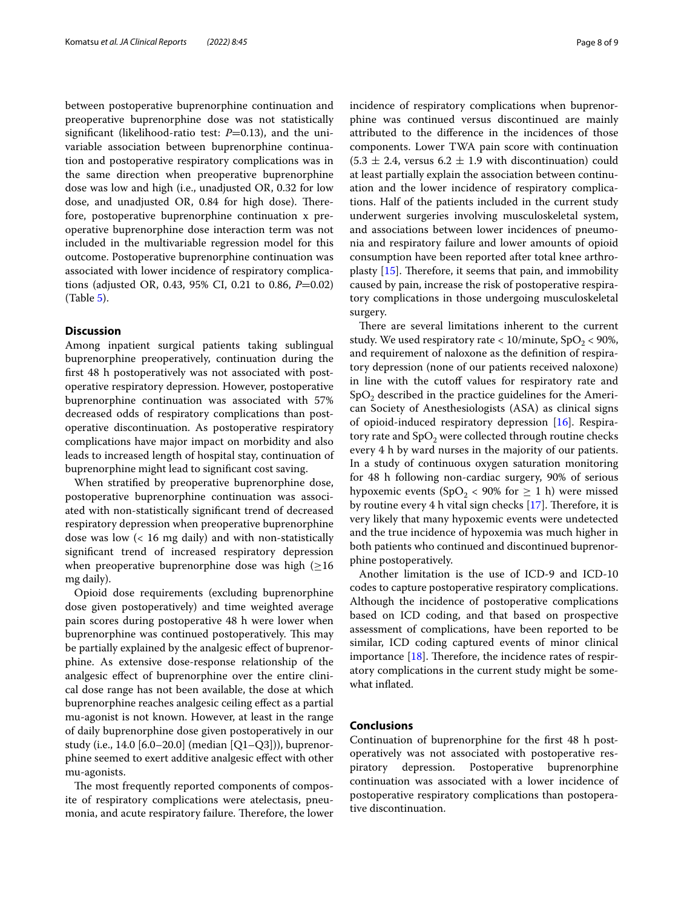between postoperative buprenorphine continuation and preoperative buprenorphine dose was not statistically significant (likelihood-ratio test:  $P=0.13$ ), and the univariable association between buprenorphine continuation and postoperative respiratory complications was in the same direction when preoperative buprenorphine dose was low and high (i.e., unadjusted OR, 0.32 for low dose, and unadjusted OR, 0.84 for high dose). Therefore, postoperative buprenorphine continuation x preoperative buprenorphine dose interaction term was not included in the multivariable regression model for this outcome. Postoperative buprenorphine continuation was associated with lower incidence of respiratory complications (adjusted OR, 0.43, 95% CI, 0.21 to 0.86, *P*=0.02) (Table [5](#page-6-2)).

## **Discussion**

Among inpatient surgical patients taking sublingual buprenorphine preoperatively, continuation during the frst 48 h postoperatively was not associated with postoperative respiratory depression. However, postoperative buprenorphine continuation was associated with 57% decreased odds of respiratory complications than postoperative discontinuation. As postoperative respiratory complications have major impact on morbidity and also leads to increased length of hospital stay, continuation of buprenorphine might lead to signifcant cost saving.

When stratifed by preoperative buprenorphine dose, postoperative buprenorphine continuation was associated with non-statistically signifcant trend of decreased respiratory depression when preoperative buprenorphine dose was low (< 16 mg daily) and with non-statistically signifcant trend of increased respiratory depression when preoperative buprenorphine dose was high  $(\geq 16)$ mg daily).

Opioid dose requirements (excluding buprenorphine dose given postoperatively) and time weighted average pain scores during postoperative 48 h were lower when buprenorphine was continued postoperatively. This may be partially explained by the analgesic efect of buprenorphine. As extensive dose-response relationship of the analgesic efect of buprenorphine over the entire clinical dose range has not been available, the dose at which buprenorphine reaches analgesic ceiling efect as a partial mu-agonist is not known. However, at least in the range of daily buprenorphine dose given postoperatively in our study (i.e., 14.0 [6.0–20.0] (median [Q1–Q3])), buprenorphine seemed to exert additive analgesic efect with other mu-agonists.

The most frequently reported components of composite of respiratory complications were atelectasis, pneumonia, and acute respiratory failure. Therefore, the lower incidence of respiratory complications when buprenorphine was continued versus discontinued are mainly attributed to the diference in the incidences of those components. Lower TWA pain score with continuation  $(5.3 \pm 2.4,$  versus 6.2  $\pm$  1.9 with discontinuation) could at least partially explain the association between continuation and the lower incidence of respiratory complications. Half of the patients included in the current study underwent surgeries involving musculoskeletal system, and associations between lower incidences of pneumonia and respiratory failure and lower amounts of opioid consumption have been reported after total knee arthroplasty  $[15]$  $[15]$ . Therefore, it seems that pain, and immobility caused by pain, increase the risk of postoperative respiratory complications in those undergoing musculoskeletal surgery.

There are several limitations inherent to the current study. We used respiratory rate  $< 10$ /minute, SpO<sub>2</sub>  $< 90\%$ , and requirement of naloxone as the defnition of respiratory depression (none of our patients received naloxone) in line with the cutoff values for respiratory rate and  $SpO<sub>2</sub>$  described in the practice guidelines for the American Society of Anesthesiologists (ASA) as clinical signs of opioid-induced respiratory depression [[16\]](#page-8-16). Respiratory rate and  $SpO<sub>2</sub>$  were collected through routine checks every 4 h by ward nurses in the majority of our patients. In a study of continuous oxygen saturation monitoring for 48 h following non-cardiac surgery, 90% of serious hypoxemic events (SpO<sub>2</sub> < 90% for  $\geq$  1 h) were missed by routine every 4 h vital sign checks  $[17]$  $[17]$  $[17]$ . Therefore, it is very likely that many hypoxemic events were undetected and the true incidence of hypoxemia was much higher in both patients who continued and discontinued buprenorphine postoperatively.

Another limitation is the use of ICD-9 and ICD-10 codes to capture postoperative respiratory complications. Although the incidence of postoperative complications based on ICD coding, and that based on prospective assessment of complications, have been reported to be similar, ICD coding captured events of minor clinical importance  $[18]$  $[18]$ . Therefore, the incidence rates of respiratory complications in the current study might be somewhat infated.

## **Conclusions**

Continuation of buprenorphine for the frst 48 h postoperatively was not associated with postoperative respiratory depression. Postoperative buprenorphine continuation was associated with a lower incidence of postoperative respiratory complications than postoperative discontinuation.